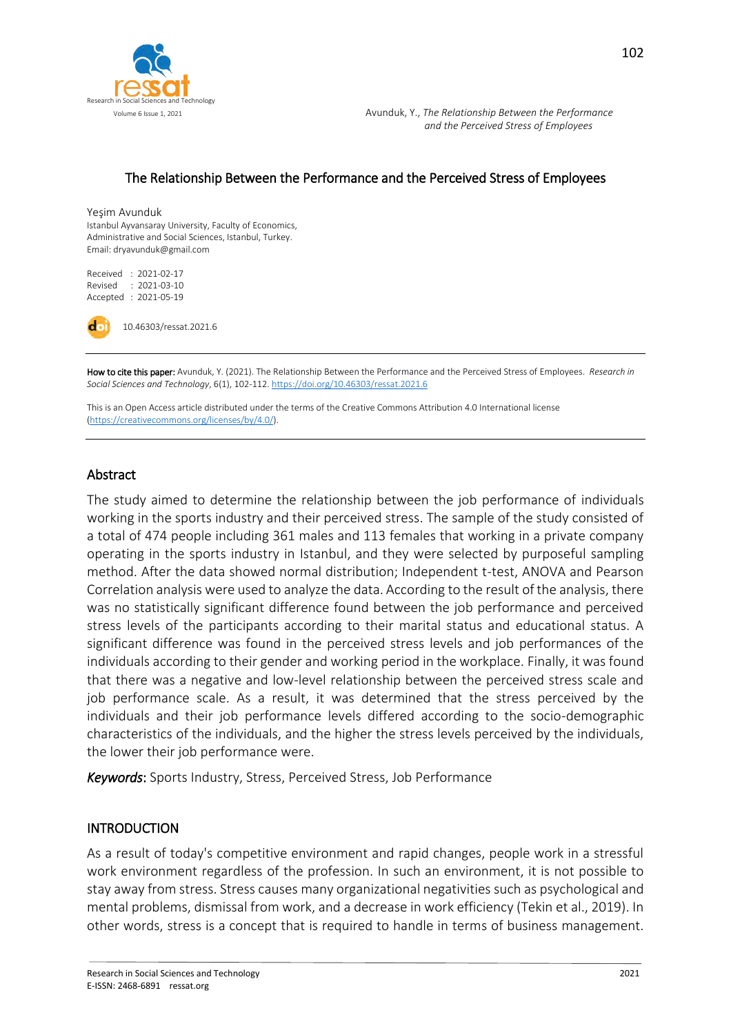

 Volume 6 Issue 1, 2021 Avunduk, Y., *The Relationship Between the Performance and the Perceived Stress of Employees*

#### The Relationship Between the Performance and the Perceived Stress of Employees

#### Yeşim Avunduk

Istanbul Ayvansaray University, Faculty of Economics, Administrative and Social Sciences, Istanbul, Turkey. Email: dryavunduk@gmail.com

Received : 2021-02-17 Revised : 2021-03-10 Accepted : 2021-05-19



10.46303/ressat.2021.6

How to cite this paper: Avunduk, Y. (2021). The Relationship Between the Performance and the Perceived Stress of Employees. *Research in Social Sciences and Technology*, 6(1), 102-112[. https://doi.org/10.46303/ressat.2021.6](https://doi.org/10.46303/ressat.2021.6)

This is an Open Access article distributed under the terms of the Creative Commons Attribution 4.0 International license [\(https://creativecommons.org/licenses/by/4.0/\).](https://creativecommons.org/licenses/by/4.0/)

#### Abstract

The study aimed to determine the relationship between the job performance of individuals working in the sports industry and their perceived stress. The sample of the study consisted of a total of 474 people including 361 males and 113 females that working in a private company operating in the sports industry in Istanbul, and they were selected by purposeful sampling method. After the data showed normal distribution; Independent t-test, ANOVA and Pearson Correlation analysis were used to analyze the data. According to the result of the analysis, there was no statistically significant difference found between the job performance and perceived stress levels of the participants according to their marital status and educational status. A significant difference was found in the perceived stress levels and job performances of the individuals according to their gender and working period in the workplace. Finally, it was found that there was a negative and low-level relationship between the perceived stress scale and job performance scale. As a result, it was determined that the stress perceived by the individuals and their job performance levels differed according to the socio-demographic characteristics of the individuals, and the higher the stress levels perceived by the individuals, the lower their job performance were.

*Keywords*: Sports Industry, Stress, Perceived Stress, Job Performance

#### INTRODUCTION

As a result of today's competitive environment and rapid changes, people work in a stressful work environment regardless of the profession. In such an environment, it is not possible to stay away from stress. Stress causes many organizational negativities such as psychological and mental problems, dismissal from work, and a decrease in work efficiency (Tekin et al., 2019). In other words, stress is a concept that is required to handle in terms of business management.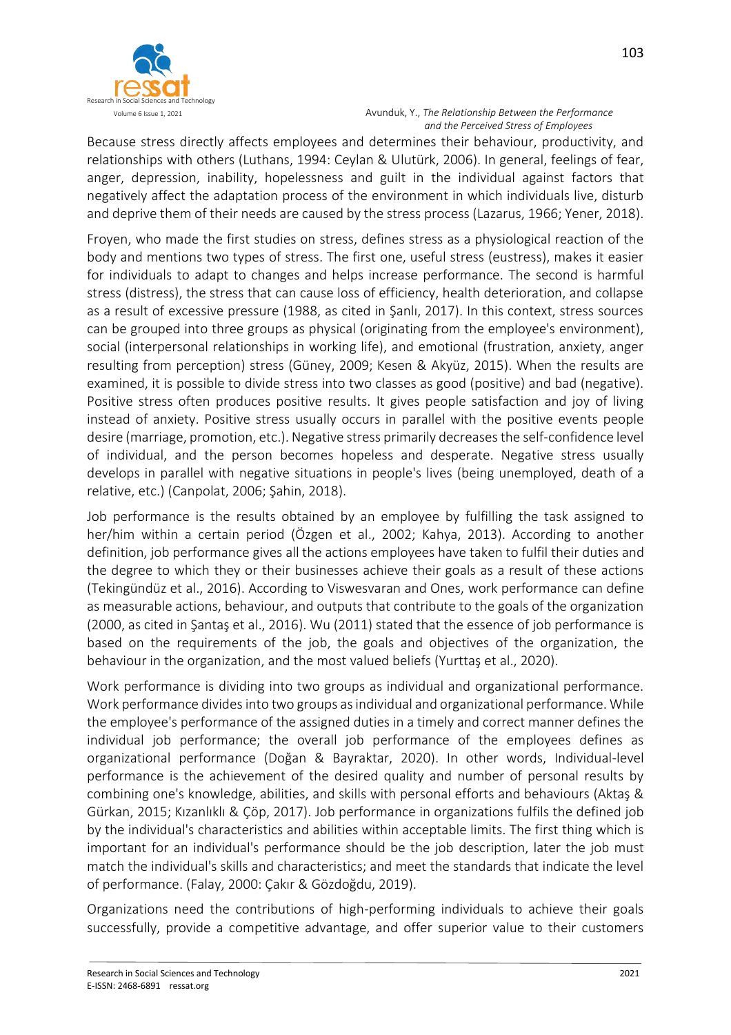

 Volume 6 Issue 1, 2021 Avunduk, Y., *The Relationship Between the Performance and the Perceived Stress of Employees*

Because stress directly affects employees and determines their behaviour, productivity, and relationships with others (Luthans, 1994: Ceylan & Ulutürk, 2006). In general, feelings of fear, anger, depression, inability, hopelessness and guilt in the individual against factors that negatively affect the adaptation process of the environment in which individuals live, disturb and deprive them of their needs are caused by the stress process (Lazarus, 1966; Yener, 2018).

Froyen, who made the first studies on stress, defines stress as a physiological reaction of the body and mentions two types of stress. The first one, useful stress (eustress), makes it easier for individuals to adapt to changes and helps increase performance. The second is harmful stress (distress), the stress that can cause loss of efficiency, health deterioration, and collapse as a result of excessive pressure (1988, as cited in Şanlı, 2017). In this context, stress sources can be grouped into three groups as physical (originating from the employee's environment), social (interpersonal relationships in working life), and emotional (frustration, anxiety, anger resulting from perception) stress (Güney, 2009; Kesen & Akyüz, 2015). When the results are examined, it is possible to divide stress into two classes as good (positive) and bad (negative). Positive stress often produces positive results. It gives people satisfaction and joy of living instead of anxiety. Positive stress usually occurs in parallel with the positive events people desire (marriage, promotion, etc.). Negative stress primarily decreases the self-confidence level of individual, and the person becomes hopeless and desperate. Negative stress usually develops in parallel with negative situations in people's lives (being unemployed, death of a relative, etc.) (Canpolat, 2006; Şahin, 2018).

Job performance is the results obtained by an employee by fulfilling the task assigned to her/him within a certain period (Özgen et al., 2002; Kahya, 2013). According to another definition, job performance gives all the actions employees have taken to fulfil their duties and the degree to which they or their businesses achieve their goals as a result of these actions (Tekingündüz et al., 2016). According to Viswesvaran and Ones, work performance can define as measurable actions, behaviour, and outputs that contribute to the goals of the organization (2000, as cited in Şantaş et al., 2016). Wu (2011) stated that the essence of job performance is based on the requirements of the job, the goals and objectives of the organization, the behaviour in the organization, and the most valued beliefs (Yurttaş et al., 2020).

Work performance is dividing into two groups as individual and organizational performance. Work performance divides into two groups as individual and organizational performance. While the employee's performance of the assigned duties in a timely and correct manner defines the individual job performance; the overall job performance of the employees defines as organizational performance (Doğan & Bayraktar, 2020). In other words, Individual-level performance is the achievement of the desired quality and number of personal results by combining one's knowledge, abilities, and skills with personal efforts and behaviours (Aktaş & Gürkan, 2015; Kızanlıklı & Çöp, 2017). Job performance in organizations fulfils the defined job by the individual's characteristics and abilities within acceptable limits. The first thing which is important for an individual's performance should be the job description, later the job must match the individual's skills and characteristics; and meet the standards that indicate the level of performance. (Falay, 2000: Çakır & Gözdoğdu, 2019).

Organizations need the contributions of high-performing individuals to achieve their goals successfully, provide a competitive advantage, and offer superior value to their customers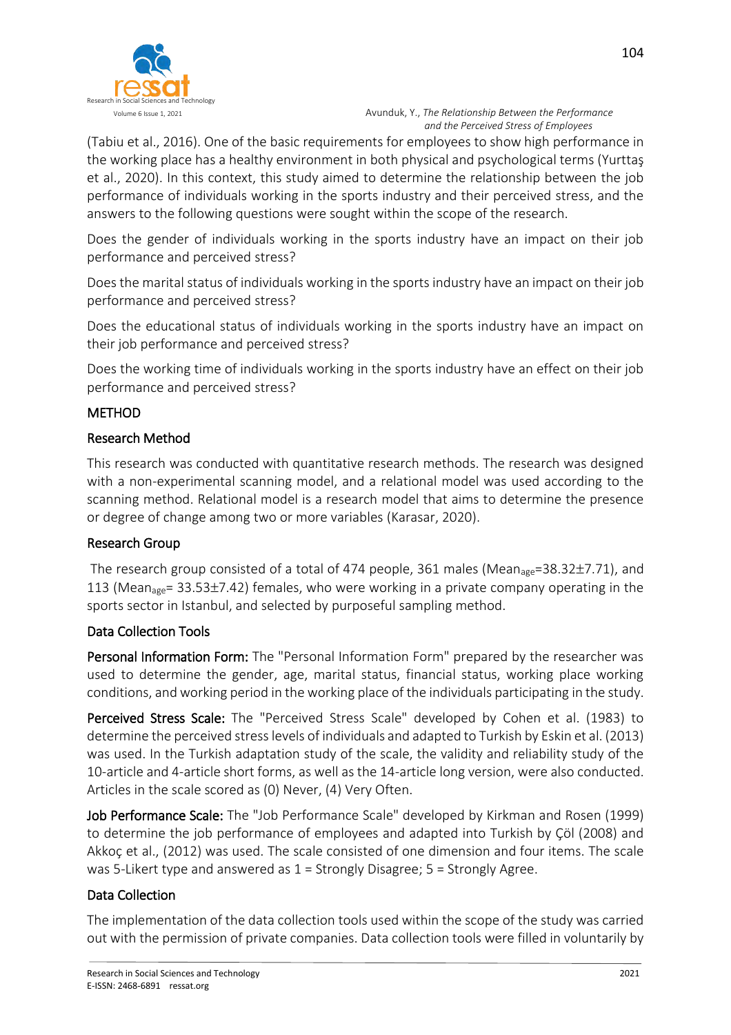

(Tabiu et al., 2016). One of the basic requirements for employees to show high performance in the working place has a healthy environment in both physical and psychological terms (Yurttaş et al., 2020). In this context, this study aimed to determine the relationship between the job performance of individuals working in the sports industry and their perceived stress, and the answers to the following questions were sought within the scope of the research.

Does the gender of individuals working in the sports industry have an impact on their job performance and perceived stress?

Does the marital status of individuals working in the sports industry have an impact on their job performance and perceived stress?

Does the educational status of individuals working in the sports industry have an impact on their job performance and perceived stress?

Does the working time of individuals working in the sports industry have an effect on their job performance and perceived stress?

## METHOD

### Research Method

This research was conducted with quantitative research methods. The research was designed with a non-experimental scanning model, and a relational model was used according to the scanning method. Relational model is a research model that aims to determine the presence or degree of change among two or more variables (Karasar, 2020).

### Research Group

The research group consisted of a total of 474 people, 361 males (Mean<sub>age</sub>=38.32±7.71), and 113 (Mean<sub>age</sub>= 33.53 $\pm$ 7.42) females, who were working in a private company operating in the sports sector in Istanbul, and selected by purposeful sampling method.

### Data Collection Tools

Personal Information Form: The "Personal Information Form" prepared by the researcher was used to determine the gender, age, marital status, financial status, working place working conditions, and working period in the working place of the individuals participating in the study.

Perceived Stress Scale: The "Perceived Stress Scale" developed by Cohen et al. (1983) to determine the perceived stress levels of individuals and adapted to Turkish by Eskin et al. (2013) was used. In the Turkish adaptation study of the scale, the validity and reliability study of the 10-article and 4-article short forms, as well as the 14-article long version, were also conducted. Articles in the scale scored as (0) Never, (4) Very Often.

Job Performance Scale: The "Job Performance Scale" developed by Kirkman and Rosen (1999) to determine the job performance of employees and adapted into Turkish by Çöl (2008) and Akkoç et al., (2012) was used. The scale consisted of one dimension and four items. The scale was 5-Likert type and answered as  $1 =$  Strongly Disagree;  $5 =$  Strongly Agree.

### Data Collection

The implementation of the data collection tools used within the scope of the study was carried out with the permission of private companies. Data collection tools were filled in voluntarily by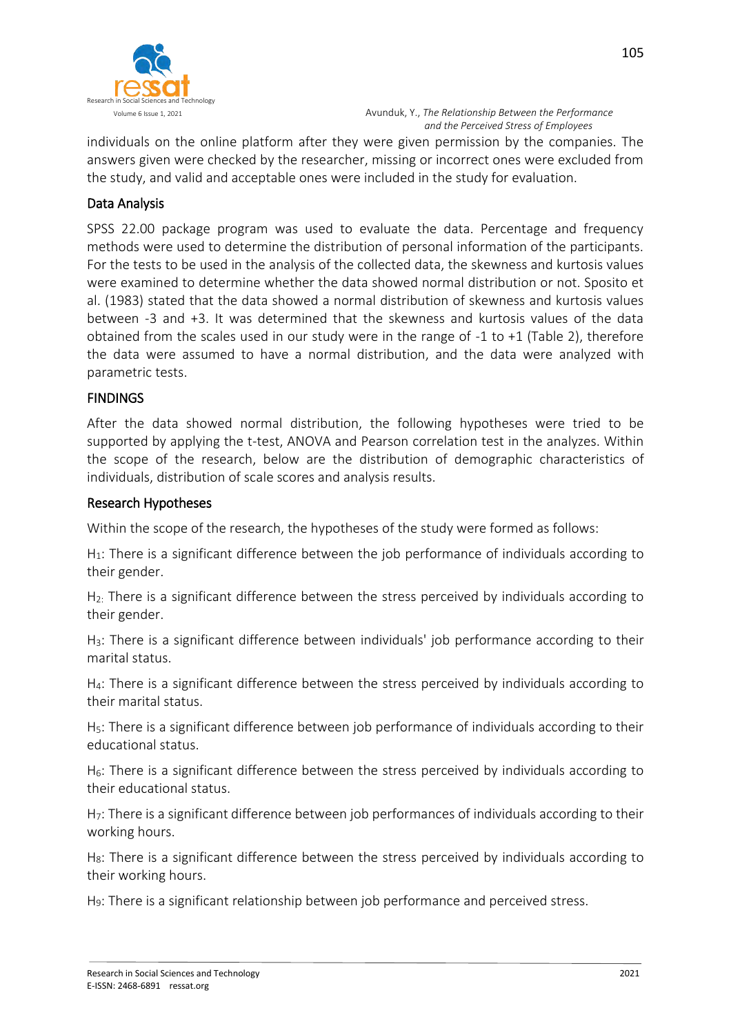

individuals on the online platform after they were given permission by the companies. The answers given were checked by the researcher, missing or incorrect ones were excluded from the study, and valid and acceptable ones were included in the study for evaluation.

## Data Analysis

SPSS 22.00 package program was used to evaluate the data. Percentage and frequency methods were used to determine the distribution of personal information of the participants. For the tests to be used in the analysis of the collected data, the skewness and kurtosis values were examined to determine whether the data showed normal distribution or not. Sposito et al. (1983) stated that the data showed a normal distribution of skewness and kurtosis values between -3 and +3. It was determined that the skewness and kurtosis values of the data obtained from the scales used in our study were in the range of -1 to +1 (Table 2), therefore the data were assumed to have a normal distribution, and the data were analyzed with parametric tests.

### **FINDINGS**

After the data showed normal distribution, the following hypotheses were tried to be supported by applying the t-test, ANOVA and Pearson correlation test in the analyzes. Within the scope of the research, below are the distribution of demographic characteristics of individuals, distribution of scale scores and analysis results.

### Research Hypotheses

Within the scope of the research, the hypotheses of the study were formed as follows:

H<sub>1</sub>: There is a significant difference between the job performance of individuals according to their gender.

 $H<sub>2</sub>$ : There is a significant difference between the stress perceived by individuals according to their gender.

H3: There is a significant difference between individuals' job performance according to their marital status.

H4: There is a significant difference between the stress perceived by individuals according to their marital status.

H<sub>5</sub>: There is a significant difference between job performance of individuals according to their educational status.

H<sub>6</sub>: There is a significant difference between the stress perceived by individuals according to their educational status.

H7: There is a significant difference between job performances of individuals according to their working hours.

H<sub>8</sub>: There is a significant difference between the stress perceived by individuals according to their working hours.

H9: There is a significant relationship between job performance and perceived stress.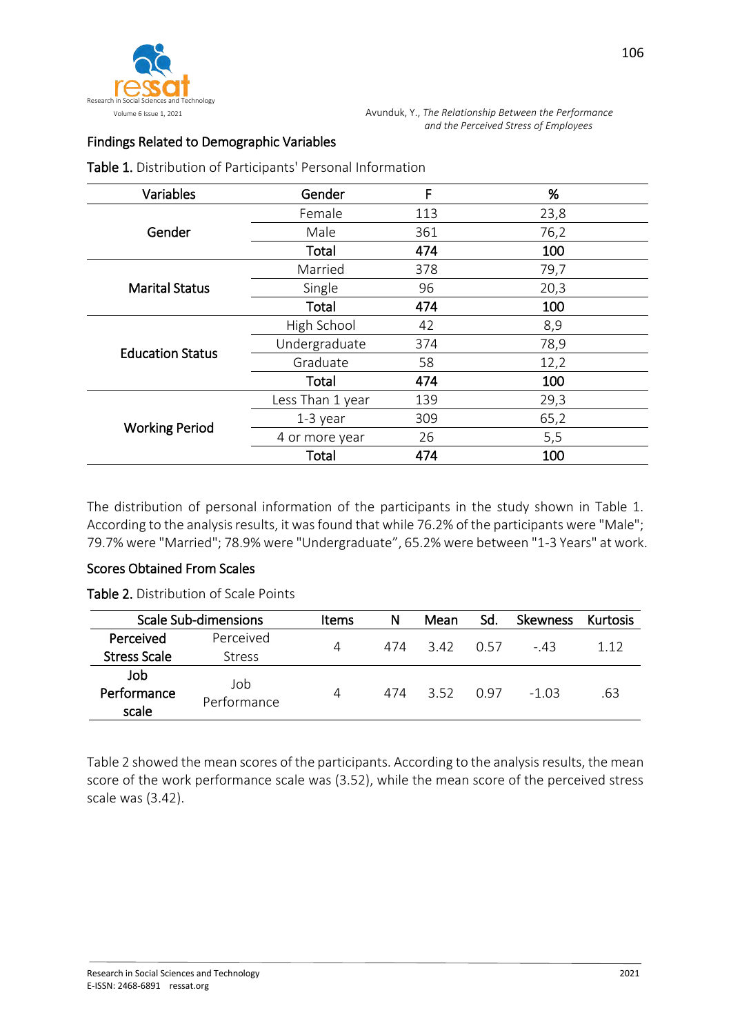

# Findings Related to Demographic Variables

Table 1. Distribution of Participants' Personal Information

| Variables               | Gender           | F   | %    |
|-------------------------|------------------|-----|------|
|                         | Female           | 113 | 23,8 |
| Gender                  | Male             | 361 | 76,2 |
|                         | Total            | 474 | 100  |
|                         | Married          | 378 | 79,7 |
| <b>Marital Status</b>   | Single           | 96  | 20,3 |
|                         | Total            | 474 | 100  |
|                         | High School      | 42  | 8,9  |
| <b>Education Status</b> | Undergraduate    | 374 | 78,9 |
|                         | Graduate         | 58  | 12,2 |
|                         | <b>Total</b>     | 474 | 100  |
|                         | Less Than 1 year | 139 | 29,3 |
|                         | $1-3$ year       | 309 | 65,2 |
| <b>Working Period</b>   | 4 or more year   | 26  | 5,5  |
|                         | Total            | 474 | 100  |

The distribution of personal information of the participants in the study shown in Table 1. According to the analysis results, it was found that while 76.2% of the participants were "Male"; 79.7% were "Married"; 78.9% were "Undergraduate", 65.2% were between "1-3 Years" at work.

### Scores Obtained From Scales

Table 2. Distribution of Scale Points

|                             | <b>Scale Sub-dimensions</b> | <b>Items</b> | N   | Mean | Sd.  | <b>Skewness</b> | Kurtosis |
|-----------------------------|-----------------------------|--------------|-----|------|------|-----------------|----------|
| Perceived                   | Perceived                   | 4            | 474 | 3.42 | O 57 | - 43            | 112      |
| <b>Stress Scale</b>         | <b>Stress</b>               |              |     |      |      |                 |          |
| Job<br>Performance<br>scale | Job<br>Performance          | 4            | 474 | 352  | በ 97 | -1.03           | .63      |

Table 2 showed the mean scores of the participants. According to the analysis results, the mean score of the work performance scale was (3.52), while the mean score of the perceived stress scale was (3.42).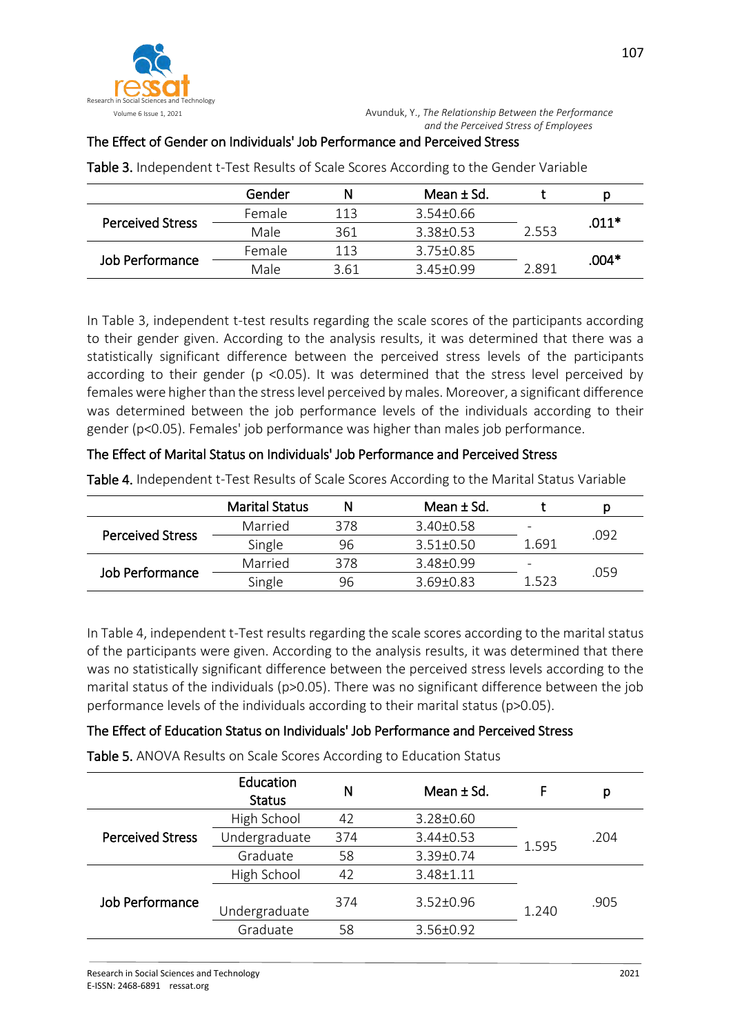

## The Effect of Gender on Individuals' Job Performance and Perceived Stress

|                         | Gender                   |      | Mean $\pm$ Sd.  |       |         |
|-------------------------|--------------------------|------|-----------------|-------|---------|
|                         | Female                   | 113  | $3.54 \pm 0.66$ |       | $.011*$ |
| <b>Perceived Stress</b> | Male<br>361<br>3.38+0.53 |      | 2.553           |       |         |
|                         | Female                   | 113  | $3.75 + 0.85$   |       | .004*   |
| Job Performance         | Male                     | 3.61 | 345+099         | 2 891 |         |

Table 3. Independent t-Test Results of Scale Scores According to the Gender Variable

In Table 3, independent t-test results regarding the scale scores of the participants according to their gender given. According to the analysis results, it was determined that there was a statistically significant difference between the perceived stress levels of the participants according to their gender (p <0.05). It was determined that the stress level perceived by females were higher than the stress level perceived by males. Moreover, a significant difference was determined between the job performance levels of the individuals according to their gender (p<0.05). Females' job performance was higher than males job performance.

#### The Effect of Marital Status on Individuals' Job Performance and Perceived Stress

|                         | <b>Marital Status</b> |     | Mean ± Sd.    |                          | D    |
|-------------------------|-----------------------|-----|---------------|--------------------------|------|
|                         | Married               | 378 | $3.40 + 0.58$ | $\qquad \qquad$          |      |
| <b>Perceived Stress</b> | Single                | 96  | $3.51 + 0.50$ | 1.691                    | .092 |
| Job Performance         | Married               | 378 | 3.48+0.99     | $\overline{\phantom{a}}$ |      |
|                         | Single                | 96  | $3.69 + 0.83$ | 1.523                    | .059 |

Table 4. Independent t-Test Results of Scale Scores According to the Marital Status Variable

In Table 4, independent t-Test results regarding the scale scores according to the marital status of the participants were given. According to the analysis results, it was determined that there was no statistically significant difference between the perceived stress levels according to the marital status of the individuals (p>0.05). There was no significant difference between the job performance levels of the individuals according to their marital status (p>0.05).

### The Effect of Education Status on Individuals' Job Performance and Perceived Stress

Table 5. ANOVA Results on Scale Scores According to Education Status

|                         | Education<br><b>Status</b> | Ν   | Mean $±$ Sd.    |       | р    |
|-------------------------|----------------------------|-----|-----------------|-------|------|
|                         | High School                | 42  | 3.28±0.60       |       |      |
| <b>Perceived Stress</b> | Undergraduate              | 374 | 3.44±0.53       | 1.595 | .204 |
|                         | Graduate                   | 58  | 3.39±0.74       |       |      |
|                         | High School                | 42  | 3.48±1.11       |       |      |
| <b>Job Performance</b>  | Undergraduate              | 374 | $3.52 \pm 0.96$ | 1.240 | .905 |
|                         | Graduate                   | 58  | 3.56±0.92       |       |      |
|                         |                            |     |                 |       |      |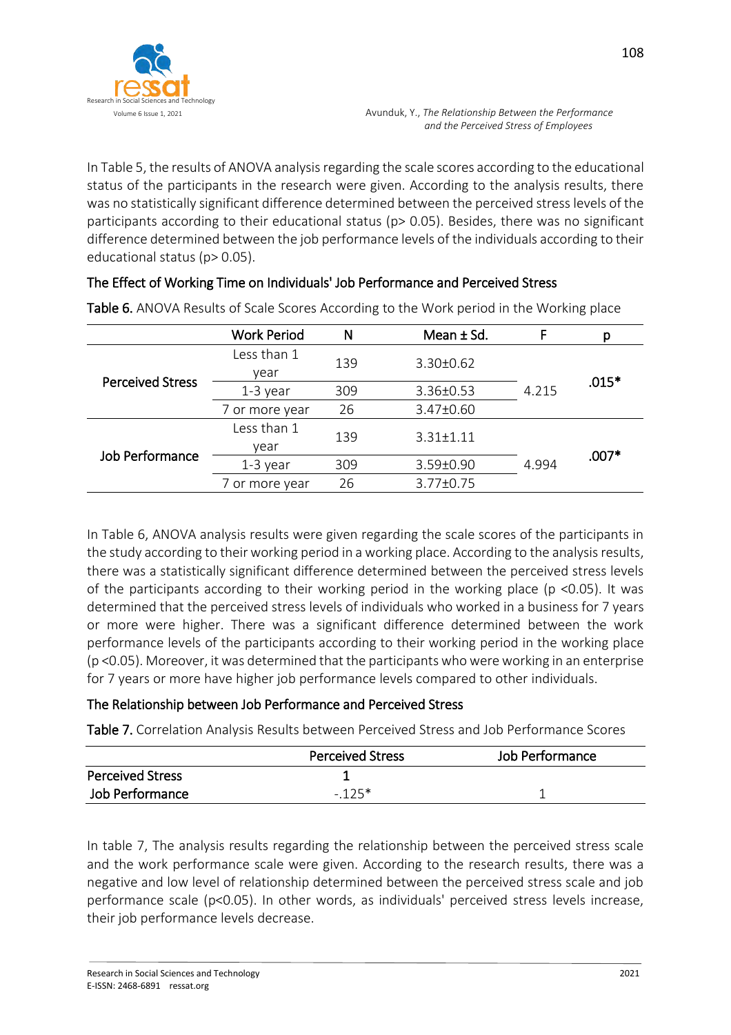

In Table 5, the results of ANOVA analysis regarding the scale scores according to the educational status of the participants in the research were given. According to the analysis results, there was no statistically significant difference determined between the perceived stress levels of the participants according to their educational status (p> 0.05). Besides, there was no significant difference determined between the job performance levels of the individuals according to their educational status (p> 0.05).

|                         | <b>Work Period</b> | N   | Mean $\pm$ Sd.  | F     | р       |
|-------------------------|--------------------|-----|-----------------|-------|---------|
|                         | Less than 1        | 139 | 3.30±0.62       |       |         |
| <b>Perceived Stress</b> | year               |     |                 |       | $.015*$ |
|                         | $1-3$ year         | 309 | 3.36±0.53       | 4.215 |         |
|                         | 7 or more year     | 26  | 3.47±0.60       |       |         |
| Job Performance         | Less than 1        | 139 | $3.31 \pm 1.11$ |       |         |
|                         | vear               |     |                 |       | $.007*$ |
|                         | $1-3$ year         | 309 | 3.59±0.90       |       |         |
|                         | 7 or more year     | 26  | 3.77±0.75       |       |         |

Table 6. ANOVA Results of Scale Scores According to the Work period in the Working place

The Effect of Working Time on Individuals' Job Performance and Perceived Stress

In Table 6, ANOVA analysis results were given regarding the scale scores of the participants in the study according to their working period in a working place. According to the analysis results, there was a statistically significant difference determined between the perceived stress levels of the participants according to their working period in the working place ( $p \le 0.05$ ). It was determined that the perceived stress levels of individuals who worked in a business for 7 years or more were higher. There was a significant difference determined between the work performance levels of the participants according to their working period in the working place (p <0.05). Moreover, it was determined that the participants who were working in an enterprise for 7 years or more have higher job performance levels compared to other individuals.

### The Relationship between Job Performance and Perceived Stress

Table 7. Correlation Analysis Results between Perceived Stress and Job Performance Scores

|                         | <b>Perceived Stress</b> | Job Performance |
|-------------------------|-------------------------|-----------------|
| <b>Perceived Stress</b> |                         |                 |
| Job Performance         | $-125*$                 |                 |

In table 7, The analysis results regarding the relationship between the perceived stress scale and the work performance scale were given. According to the research results, there was a negative and low level of relationship determined between the perceived stress scale and job performance scale (p<0.05). In other words, as individuals' perceived stress levels increase, their job performance levels decrease.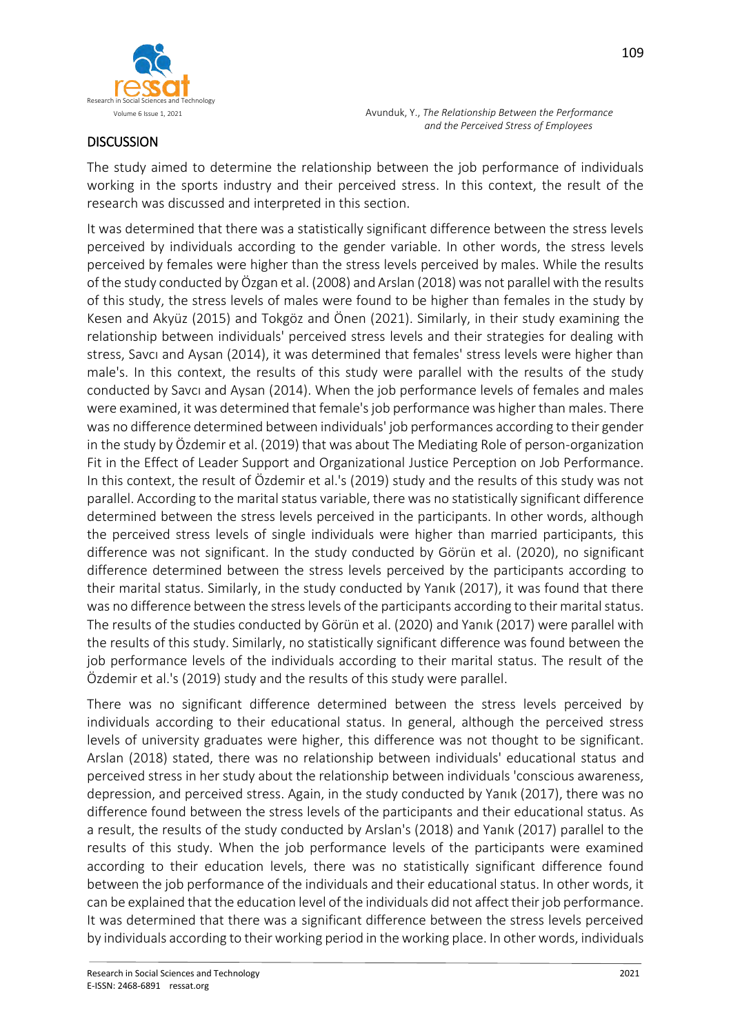



## **DISCUSSION**

The study aimed to determine the relationship between the job performance of individuals working in the sports industry and their perceived stress. In this context, the result of the research was discussed and interpreted in this section.

It was determined that there was a statistically significant difference between the stress levels perceived by individuals according to the gender variable. In other words, the stress levels perceived by females were higher than the stress levels perceived by males. While the results of the study conducted by Özgan et al. (2008) and Arslan (2018) was not parallel with the results of this study, the stress levels of males were found to be higher than females in the study by Kesen and Akyüz (2015) and Tokgöz and Önen (2021). Similarly, in their study examining the relationship between individuals' perceived stress levels and their strategies for dealing with stress, Savcı and Aysan (2014), it was determined that females' stress levels were higher than male's. In this context, the results of this study were parallel with the results of the study conducted by Savcı and Aysan (2014). When the job performance levels of females and males were examined, it was determined that female's job performance was higher than males. There was no difference determined between individuals' job performances according to their gender in the study by Özdemir et al. (2019) that was about The Mediating Role of person-organization Fit in the Effect of Leader Support and Organizational Justice Perception on Job Performance. In this context, the result of Özdemir et al.'s (2019) study and the results of this study was not parallel. According to the marital status variable, there was no statistically significant difference determined between the stress levels perceived in the participants. In other words, although the perceived stress levels of single individuals were higher than married participants, this difference was not significant. In the study conducted by Görün et al. (2020), no significant difference determined between the stress levels perceived by the participants according to their marital status. Similarly, in the study conducted by Yanık (2017), it was found that there was no difference between the stress levels of the participants according to their marital status. The results of the studies conducted by Görün et al. (2020) and Yanık (2017) were parallel with the results of this study. Similarly, no statistically significant difference was found between the job performance levels of the individuals according to their marital status. The result of the Özdemir et al.'s (2019) study and the results of this study were parallel.

There was no significant difference determined between the stress levels perceived by individuals according to their educational status. In general, although the perceived stress levels of university graduates were higher, this difference was not thought to be significant. Arslan (2018) stated, there was no relationship between individuals' educational status and perceived stress in her study about the relationship between individuals 'conscious awareness, depression, and perceived stress. Again, in the study conducted by Yanık (2017), there was no difference found between the stress levels of the participants and their educational status. As a result, the results of the study conducted by Arslan's (2018) and Yanık (2017) parallel to the results of this study. When the job performance levels of the participants were examined according to their education levels, there was no statistically significant difference found between the job performance of the individuals and their educational status. In other words, it can be explained that the education level of the individuals did not affect their job performance. It was determined that there was a significant difference between the stress levels perceived by individuals according to their working period in the working place. In other words, individuals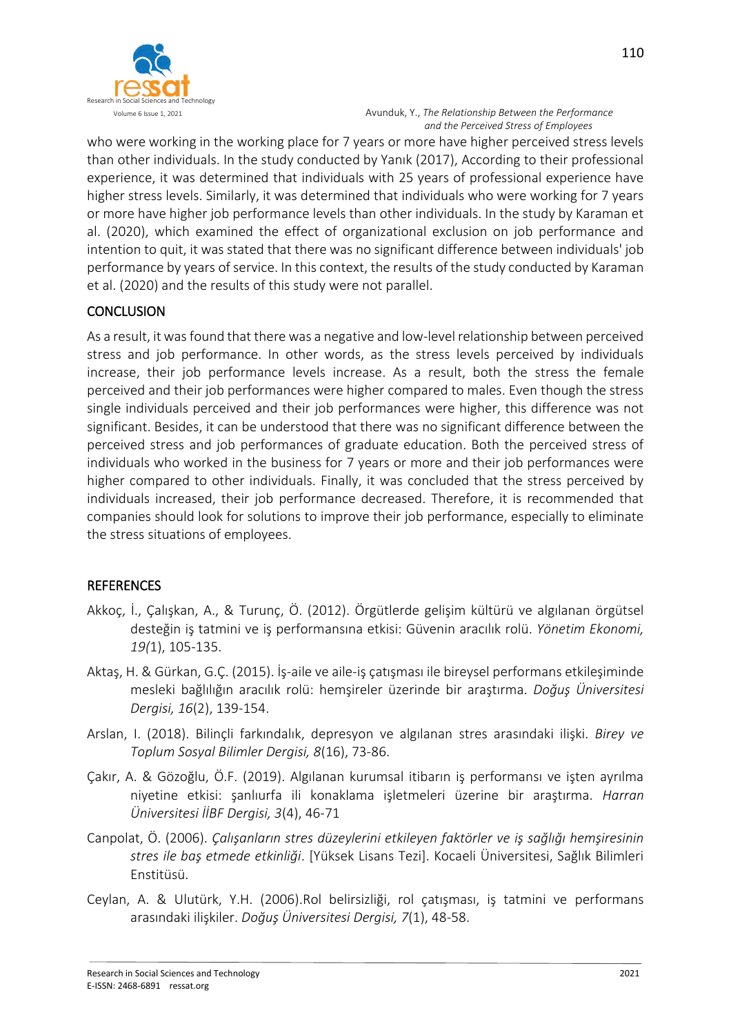

who were working in the working place for 7 years or more have higher perceived stress levels than other individuals. In the study conducted by Yanık (2017), According to their professional experience, it was determined that individuals with 25 years of professional experience have higher stress levels. Similarly, it was determined that individuals who were working for 7 years or more have higher job performance levels than other individuals. In the study by Karaman et al. (2020), which examined the effect of organizational exclusion on job performance and intention to quit, it was stated that there was no significant difference between individuals' job performance by years of service. In this context, the results of the study conducted by Karaman et al. (2020) and the results of this study were not parallel.

### **CONCLUSION**

As a result, it was found that there was a negative and low-level relationship between perceived stress and job performance. In other words, as the stress levels perceived by individuals increase, their job performance levels increase. As a result, both the stress the female perceived and their job performances were higher compared to males. Even though the stress single individuals perceived and their job performances were higher, this difference was not significant. Besides, it can be understood that there was no significant difference between the perceived stress and job performances of graduate education. Both the perceived stress of individuals who worked in the business for 7 years or more and their job performances were higher compared to other individuals. Finally, it was concluded that the stress perceived by individuals increased, their job performance decreased. Therefore, it is recommended that companies should look for solutions to improve their job performance, especially to eliminate the stress situations of employees.

### **REFERENCES**

- Akkoç, İ., Çalışkan, A., & Turunç, Ö. (2012). Örgütlerde gelişim kültürü ve algılanan örgütsel desteğin iş tatmini ve iş performansına etkisi: Güvenin aracılık rolü. *Yönetim Ekonomi, 19(*1), 105-135.
- Aktaş, H. & Gürkan, G.Ç. (2015). İş-aile ve aile-iş çatışması ile bireysel performans etkileşiminde mesleki bağlılığın aracılık rolü: hemşireler üzerinde bir araştırma. *Doğuş Üniversitesi Dergisi, 16*(2), 139-154.
- Arslan, I. (2018). Bilinçli farkındalık, depresyon ve algılanan stres arasındaki ilişki. *Birey ve Toplum Sosyal Bilimler Dergisi, 8*(16), 73-86.
- Çakır, A. & Gözoğlu, Ö.F. (2019). Algılanan kurumsal itibarın iş performansı ve işten ayrılma niyetine etkisi: şanlıurfa ili konaklama işletmeleri üzerine bir araştırma. *Harran Üniversitesi İİBF Dergisi, 3*(4), 46-71
- Canpolat, Ö. (2006). *Çalışanların stres düzeylerini etkileyen faktörler ve iş sağlığı hemşiresinin stres ile baş etmede etkinliği*. [Yüksek Lisans Tezi]. Kocaeli Üniversitesi, Sağlık Bilimleri Enstitüsü.
- Ceylan, A. & Ulutürk, Y.H. (2006).Rol belirsizliği, rol çatışması, iş tatmini ve performans arasındaki ilişkiler. *Doğuş Üniversitesi Dergisi, 7*(1), 48-58.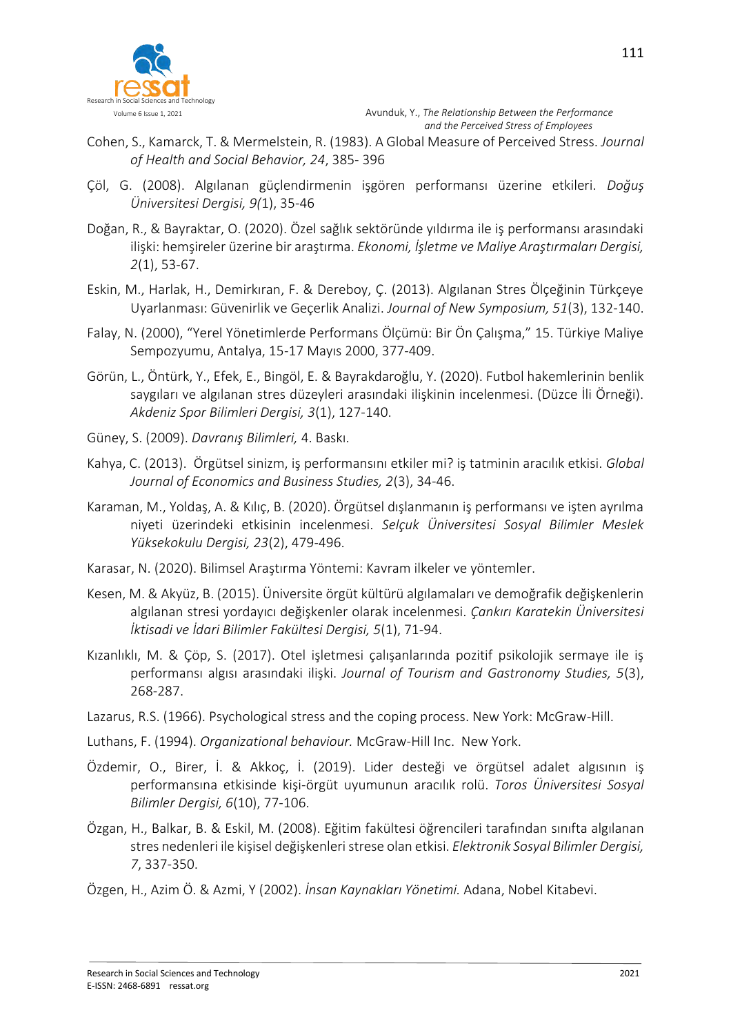

- Cohen, S., Kamarck, T. & Mermelstein, R. (1983). A Global Measure of Perceived Stress. *Journal of Health and Social Behavior, 24*, 385- 396
- Çöl, G. (2008). Algılanan güçlendirmenin işgören performansı üzerine etkileri. *Doğuş Üniversitesi Dergisi, 9(*1), 35-46
- Doğan, R., & Bayraktar, O. (2020). Özel sağlık sektöründe yıldırma ile iş performansı arasındaki ilişki: hemşireler üzerine bir araştırma. *Ekonomi, İşletme ve Maliye Araştırmaları Dergisi, 2*(1), 53-67.
- Eskin, M., Harlak, H., Demirkıran, F. & Dereboy, Ç. (2013). Algılanan Stres Ölçeğinin Türkçeye Uyarlanması: Güvenirlik ve Geçerlik Analizi. *Journal of New Symposium, 51*(3), 132-140.
- Falay, N. (2000), "Yerel Yönetimlerde Performans Ölçümü: Bir Ön Çalışma," 15. Türkiye Maliye Sempozyumu, Antalya, 15-17 Mayıs 2000, 377-409.
- Görün, L., Öntürk, Y., Efek, E., Bingöl, E. & Bayrakdaroğlu, Y. (2020). Futbol hakemlerinin benlik saygıları ve algılanan stres düzeyleri arasındaki ilişkinin incelenmesi. (Düzce İli Örneği). *Akdeniz Spor Bilimleri Dergisi, 3*(1), 127-140.
- Güney, S. (2009). *Davranış Bilimleri,* 4. Baskı.
- Kahya, C. (2013). Örgütsel sinizm, iş performansını etkiler mi? iş tatminin aracılık etkisi. *Global Journal of Economics and Business Studies, 2*(3), 34-46.
- Karaman, M., Yoldaş, A. & Kılıç, B. (2020). Örgütsel dışlanmanın iş performansı ve işten ayrılma niyeti üzerindeki etkisinin incelenmesi. *Selçuk Üniversitesi Sosyal Bilimler Meslek Yüksekokulu Dergisi, 23*(2), 479-496.
- Karasar, N. (2020). Bilimsel Araştırma Yöntemi: Kavram ilkeler ve yöntemler.
- Kesen, M. & Akyüz, B. (2015). Üniversite örgüt kültürü algılamaları ve demoğrafik değişkenlerin algılanan stresi yordayıcı değişkenler olarak incelenmesi. *Çankırı Karatekin Üniversitesi İktisadi ve İdari Bilimler Fakültesi Dergisi, 5*(1), 71-94.
- Kızanlıklı, M. & Çöp, S. (2017). Otel işletmesi çalışanlarında pozitif psikolojik sermaye ile iş performansı algısı arasındaki ilişki. *Journal of Tourism and Gastronomy Studies, 5*(3), 268-287.
- Lazarus, R.S. (1966). Psychological stress and the coping process. New York: McGraw-Hill.
- Luthans, F. (1994). *Organizational behaviour.* McGraw-Hill Inc. New York.
- Özdemir, O., Birer, İ. & Akkoç, İ. (2019). Lider desteği ve örgütsel adalet algısının iş performansına etkisinde kişi-örgüt uyumunun aracılık rolü. *Toros Üniversitesi Sosyal Bilimler Dergisi, 6*(10), 77-106.
- Özgan, H., Balkar, B. & Eskil, M. (2008). Eğitim fakültesi öğrencileri tarafından sınıfta algılanan stres nedenleri ile kişisel değişkenleri strese olan etkisi. *Elektronik Sosyal Bilimler Dergisi, 7*, 337-350.
- Özgen, H., Azim Ö. & Azmi, Y (2002). *İnsan Kaynakları Yönetimi.* Adana, Nobel Kitabevi.